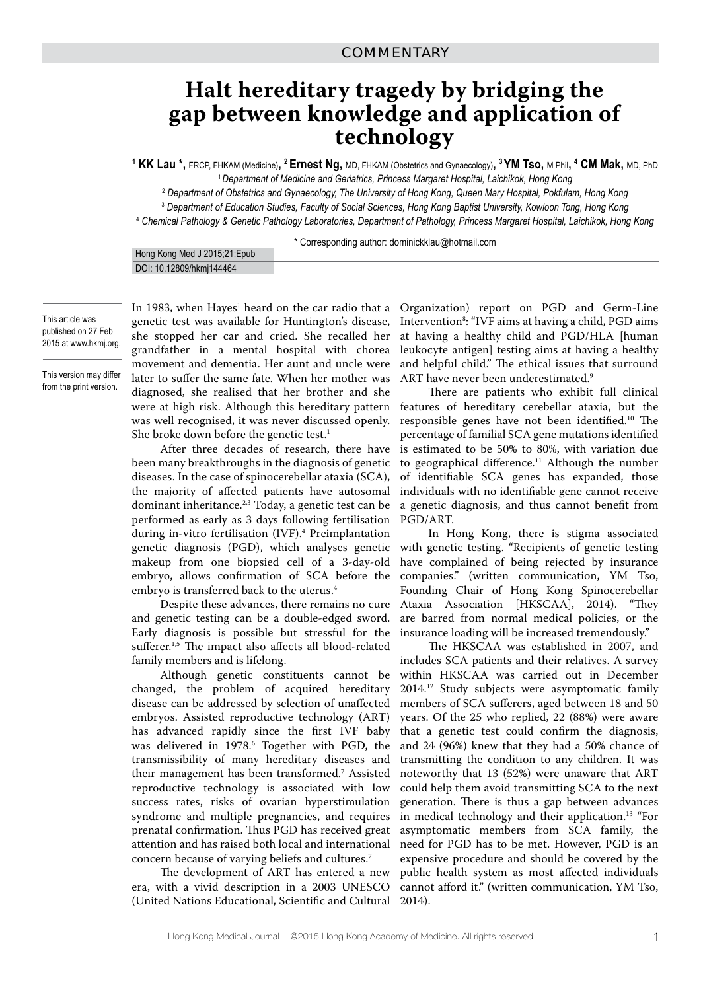## **Halt hereditary tragedy by bridging the gap between knowledge and application of technology**

**1 KK Lau \*,** FRCP, FHKAM (Medicine)**, 2 Ernest Ng,** MD, FHKAM (Obstetrics and Gynaecology)**, 3 YM Tso,** M Phil**, 4 CM Mak,** MD, PhD

<sup>1</sup>*Department of Medicine and Geriatrics, Princess Margaret Hospital, Laichikok, Hong Kong* 

2  *Department of Obstetrics and Gynaecology, The University of Hong Kong, Queen Mary Hospital, Pokfulam, Hong Kong*

3  *Department of Education Studies, Faculty of Social Sciences, Hong Kong Baptist University, Kowloon Tong, Hong Kong*

4  *Chemical Pathology & Genetic Pathology Laboratories, Department of Pathology, Princess Margaret Hospital, Laichikok, Hong Kong*

\* Corresponding author: dominickklau@hotmail.com

| Hong Kong Med J 2015;21:Epub |
|------------------------------|
| DOI: 10.12809/hkmj144464     |

This article was published on 27 Feb 2015 at www.hkmj.org.

This version may differ from the print version.

In 1983, when Hayes<sup>1</sup> heard on the car radio that a genetic test was available for Huntington's disease, she stopped her car and cried. She recalled her grandfather in a mental hospital with chorea movement and dementia. Her aunt and uncle were later to suffer the same fate. When her mother was diagnosed, she realised that her brother and she were at high risk. Although this hereditary pattern was well recognised, it was never discussed openly. She broke down before the genetic test.<sup>1</sup>

After three decades of research, there have been many breakthroughs in the diagnosis of genetic diseases. In the case of spinocerebellar ataxia (SCA), the majority of affected patients have autosomal dominant inheritance.2,3 Today, a genetic test can be performed as early as 3 days following fertilisation during in-vitro fertilisation (IVF).4 Preimplantation genetic diagnosis (PGD), which analyses genetic makeup from one biopsied cell of a 3-day-old embryo, allows confirmation of SCA before the embryo is transferred back to the uterus.<sup>4</sup>

Despite these advances, there remains no cure and genetic testing can be a double-edged sword. Early diagnosis is possible but stressful for the sufferer.<sup>1,5</sup> The impact also affects all blood-related family members and is lifelong.

Although genetic constituents cannot be changed, the problem of acquired hereditary disease can be addressed by selection of unaffected embryos. Assisted reproductive technology (ART) has advanced rapidly since the first IVF baby was delivered in 1978.6 Together with PGD, the transmissibility of many hereditary diseases and their management has been transformed.7 Assisted reproductive technology is associated with low success rates, risks of ovarian hyperstimulation syndrome and multiple pregnancies, and requires prenatal confirmation. Thus PGD has received great attention and has raised both local and international concern because of varying beliefs and cultures.7

The development of ART has entered a new era, with a vivid description in a 2003 UNESCO (United Nations Educational, Scientific and Cultural

Organization) report on PGD and Germ-Line Intervention8 : "IVF aims at having a child, PGD aims at having a healthy child and PGD/HLA [human leukocyte antigen] testing aims at having a healthy and helpful child." The ethical issues that surround ART have never been underestimated.<sup>9</sup>

There are patients who exhibit full clinical features of hereditary cerebellar ataxia, but the responsible genes have not been identified.10 The percentage of familial SCA gene mutations identified is estimated to be 50% to 80%, with variation due to geographical difference.<sup>11</sup> Although the number of identifiable SCA genes has expanded, those individuals with no identifiable gene cannot receive a genetic diagnosis, and thus cannot benefit from PGD/ART.

In Hong Kong, there is stigma associated with genetic testing. "Recipients of genetic testing have complained of being rejected by insurance companies." (written communication, YM Tso, Founding Chair of Hong Kong Spinocerebellar Ataxia Association [HKSCAA], 2014). "They are barred from normal medical policies, or the insurance loading will be increased tremendously."

The HKSCAA was established in 2007, and includes SCA patients and their relatives. A survey within HKSCAA was carried out in December 2014.12 Study subjects were asymptomatic family members of SCA sufferers, aged between 18 and 50 years. Of the 25 who replied, 22 (88%) were aware that a genetic test could confirm the diagnosis, and 24 (96%) knew that they had a 50% chance of transmitting the condition to any children. It was noteworthy that 13 (52%) were unaware that ART could help them avoid transmitting SCA to the next generation. There is thus a gap between advances in medical technology and their application.13 "For asymptomatic members from SCA family, the need for PGD has to be met. However, PGD is an expensive procedure and should be covered by the public health system as most affected individuals cannot afford it." (written communication, YM Tso, 2014).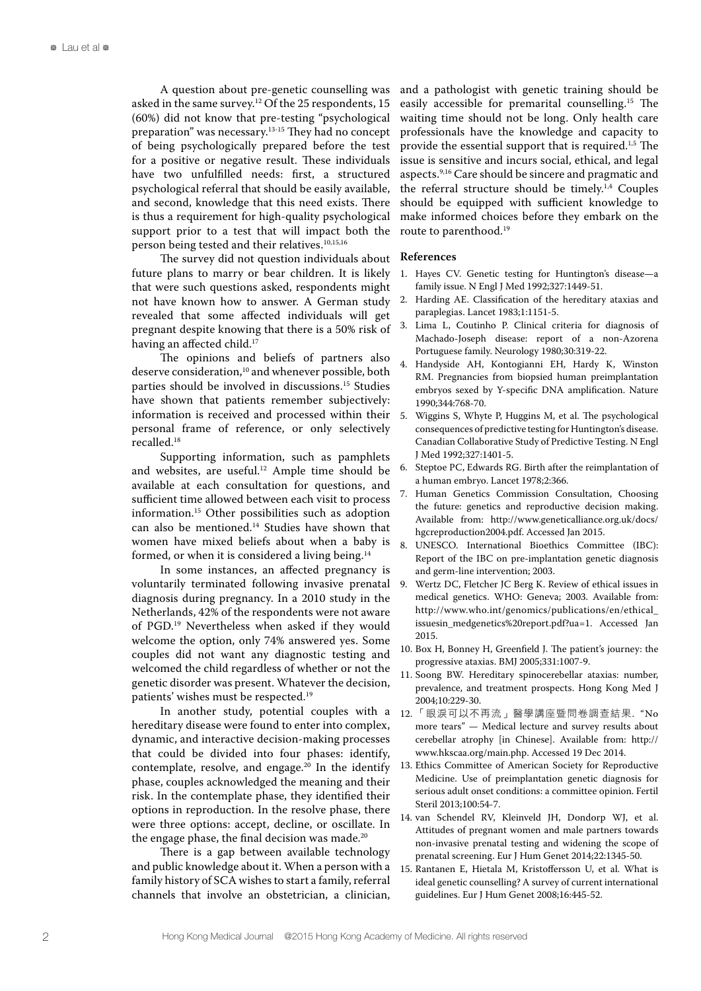A question about pre-genetic counselling was asked in the same survey.12 Of the 25 respondents, 15 (60%) did not know that pre-testing "psychological preparation" was necessary.<sup>13-15</sup> They had no concept of being psychologically prepared before the test for a positive or negative result. These individuals have two unfulfilled needs: first, a structured psychological referral that should be easily available, and second, knowledge that this need exists. There is thus a requirement for high-quality psychological support prior to a test that will impact both the person being tested and their relatives.10,15,16

The survey did not question individuals about future plans to marry or bear children. It is likely that were such questions asked, respondents might not have known how to answer. A German study revealed that some affected individuals will get pregnant despite knowing that there is a 50% risk of having an affected child.<sup>17</sup>

The opinions and beliefs of partners also deserve consideration,<sup>10</sup> and whenever possible, both parties should be involved in discussions.15 Studies have shown that patients remember subjectively: information is received and processed within their personal frame of reference, or only selectively recalled.18

Supporting information, such as pamphlets and websites, are useful.<sup>12</sup> Ample time should be available at each consultation for questions, and sufficient time allowed between each visit to process information.15 Other possibilities such as adoption can also be mentioned.14 Studies have shown that women have mixed beliefs about when a baby is formed, or when it is considered a living being.<sup>14</sup>

In some instances, an affected pregnancy is voluntarily terminated following invasive prenatal diagnosis during pregnancy. In a 2010 study in the Netherlands, 42% of the respondents were not aware of PGD.19 Nevertheless when asked if they would welcome the option, only 74% answered yes. Some couples did not want any diagnostic testing and welcomed the child regardless of whether or not the genetic disorder was present. Whatever the decision, patients' wishes must be respected.19

In another study, potential couples with a hereditary disease were found to enter into complex, dynamic, and interactive decision-making processes that could be divided into four phases: identify, contemplate, resolve, and engage.<sup>20</sup> In the identify phase, couples acknowledged the meaning and their risk. In the contemplate phase, they identified their options in reproduction. In the resolve phase, there were three options: accept, decline, or oscillate. In the engage phase, the final decision was made.<sup>20</sup>

There is a gap between available technology and public knowledge about it. When a person with a family history of SCA wishes to start a family, referral channels that involve an obstetrician, a clinician,

and a pathologist with genetic training should be easily accessible for premarital counselling.15 The waiting time should not be long. Only health care professionals have the knowledge and capacity to provide the essential support that is required.<sup>1,5</sup> The issue is sensitive and incurs social, ethical, and legal aspects.9,16 Care should be sincere and pragmatic and the referral structure should be timely.1,4 Couples should be equipped with sufficient knowledge to make informed choices before they embark on the route to parenthood.<sup>19</sup>

## **References**

- 1. Hayes CV. Genetic testing for Huntington's disease—a family issue. N Engl J Med 1992;327:1449-51.
- 2. Harding AE. Classification of the hereditary ataxias and paraplegias. Lancet 1983;1:1151-5.
- 3. Lima L, Coutinho P. Clinical criteria for diagnosis of Machado-Joseph disease: report of a non-Azorena Portuguese family. Neurology 1980;30:319-22.
- 4. Handyside AH, Kontogianni EH, Hardy K, Winston RM. Pregnancies from biopsied human preimplantation embryos sexed by Y-specific DNA amplification. Nature 1990;344:768-70.
- 5. Wiggins S, Whyte P, Huggins M, et al. The psychological consequences of predictive testing for Huntington's disease. Canadian Collaborative Study of Predictive Testing. N Engl J Med 1992;327:1401-5.
- Steptoe PC, Edwards RG. Birth after the reimplantation of a human embryo. Lancet 1978;2:366.
- 7. Human Genetics Commission Consultation, Choosing the future: genetics and reproductive decision making. Available from: http://www.geneticalliance.org.uk/docs/ hgcreproduction2004.pdf. Accessed Jan 2015.
- 8. UNESCO. International Bioethics Committee (IBC): Report of the IBC on pre-implantation genetic diagnosis and germ-line intervention; 2003.
- 9. Wertz DC, Fletcher JC Berg K. Review of ethical issues in medical genetics. WHO: Geneva; 2003. Available from: http://www.who.int/genomics/publications/en/ethical\_ issuesin\_medgenetics%20report.pdf?ua=1. Accessed Jan 2015.
- 10. Box H, Bonney H, Greenfield J. The patient's journey: the progressive ataxias. BMJ 2005;331:1007-9.
- 11. Soong BW. Hereditary spinocerebellar ataxias: number, prevalence, and treatment prospects. Hong Kong Med J 2004;10:229-30.
- 12. 「眼淚可以不再流」醫學講座暨問卷調查結果. "No more tears" — Medical lecture and survey results about cerebellar atrophy [in Chinese]. Available from: http:// www.hkscaa.org/main.php. Accessed 19 Dec 2014.
- 13. Ethics Committee of American Society for Reproductive Medicine. Use of preimplantation genetic diagnosis for serious adult onset conditions: a committee opinion. Fertil Steril 2013;100:54-7.
- 14. van Schendel RV, Kleinveld JH, Dondorp WJ, et al. Attitudes of pregnant women and male partners towards non-invasive prenatal testing and widening the scope of prenatal screening. Eur J Hum Genet 2014;22:1345-50.
- 15. Rantanen E, Hietala M, Kristoffersson U, et al. What is ideal genetic counselling? A survey of current international guidelines. Eur J Hum Genet 2008;16:445-52.